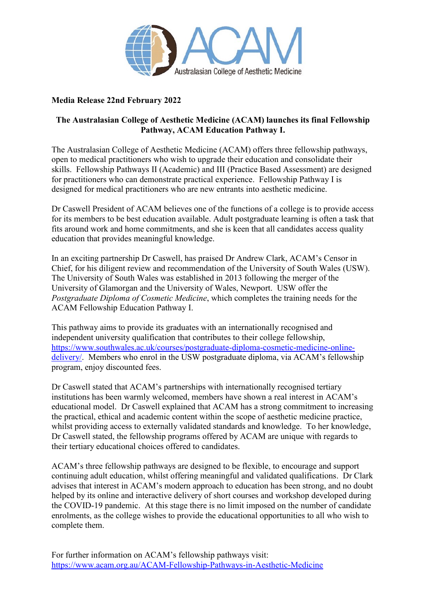

## **Media Release 22nd February 2022**

## **The Australasian College of Aesthetic Medicine (ACAM) launches its final Fellowship Pathway, ACAM Education Pathway I.**

The Australasian College of Aesthetic Medicine (ACAM) offers three fellowship pathways, open to medical practitioners who wish to upgrade their education and consolidate their skills. Fellowship Pathways II (Academic) and III (Practice Based Assessment) are designed for practitioners who can demonstrate practical experience. Fellowship Pathway I is designed for medical practitioners who are new entrants into aesthetic medicine.

Dr Caswell President of ACAM believes one of the functions of a college is to provide access for its members to be best education available. Adult postgraduate learning is often a task that fits around work and home commitments, and she is keen that all candidates access quality education that provides meaningful knowledge.

In an exciting partnership Dr Caswell, has praised Dr Andrew Clark, ACAM's Censor in Chief, for his diligent review and recommendation of the University of South Wales (USW). The University of South Wales was established in 2013 following the merger of the University of Glamorgan and the University of Wales, Newport. USW offer the *Postgraduate Diploma of Cosmetic Medicine*, which completes the training needs for the ACAM Fellowship Education Pathway I.

This pathway aims to provide its graduates with an internationally recognised and independent university qualification that contributes to their college fellowship, [https://www.southwales.ac.uk/courses/postgraduate-diploma-cosmetic-medicine-online](https://www.southwales.ac.uk/courses/postgraduate-diploma-cosmetic-medicine-online-delivery/)delivery. Members who enrol in the USW postgraduate diploma, via ACAM's fellowship program, enjoy discounted fees.

Dr Caswell stated that ACAM's partnerships with internationally recognised tertiary institutions has been warmly welcomed, members have shown a real interest in ACAM's educational model. Dr Caswell explained that ACAM has a strong commitment to increasing the practical, ethical and academic content within the scope of aesthetic medicine practice, whilst providing access to externally validated standards and knowledge. To her knowledge, Dr Caswell stated, the fellowship programs offered by ACAM are unique with regards to their tertiary educational choices offered to candidates.

ACAM's three fellowship pathways are designed to be flexible, to encourage and support continuing adult education, whilst offering meaningful and validated qualifications. Dr Clark advises that interest in ACAM's modern approach to education has been strong, and no doubt helped by its online and interactive delivery of short courses and workshop developed during the COVID-19 pandemic. At this stage there is no limit imposed on the number of candidate enrolments, as the college wishes to provide the educational opportunities to all who wish to complete them.